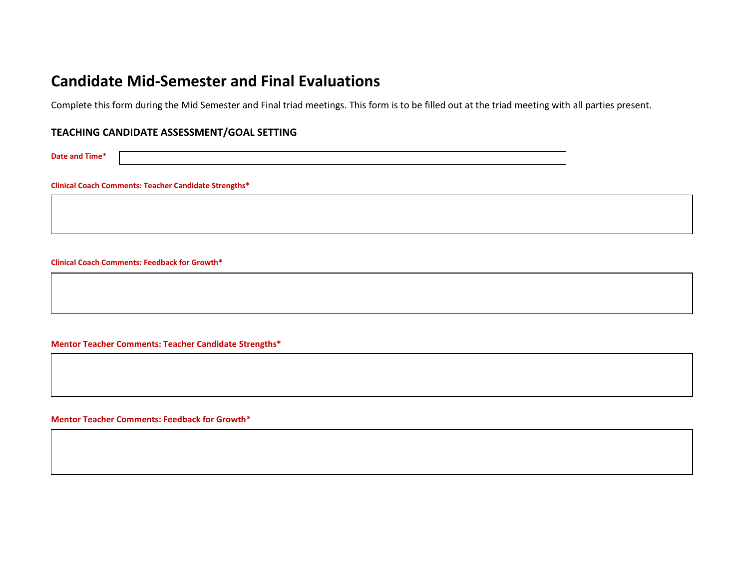# **Candidate Mid-Semester and Final Evaluations**

Complete this form during the Mid Semester and Final triad meetings. This form is to be filled out at the triad meeting with all parties present.

# **TEACHING CANDIDATE ASSESSMENT/GOAL SETTING**

**Date and Time\***

**Clinical Coach Comments: Teacher Candidate Strengths\***

**Clinical Coach Comments: Feedback for Growth\***

**Mentor Teacher Comments: Teacher Candidate Strengths\***

**Mentor Teacher Comments: Feedback for Growth\***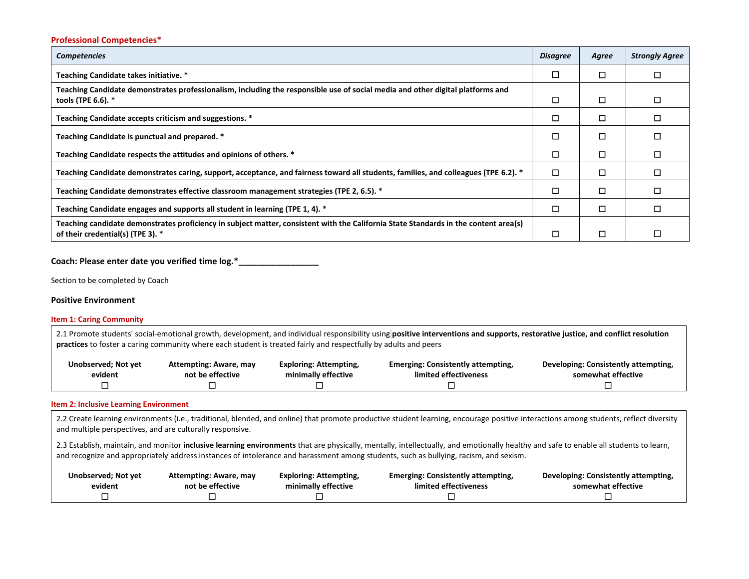# **Professional Competencies\***

| <b>Competencies</b>                                                                                                                                                       | <b>Disagree</b> | Agree | <b>Strongly Agree</b> |
|---------------------------------------------------------------------------------------------------------------------------------------------------------------------------|-----------------|-------|-----------------------|
| Teaching Candidate takes initiative. *                                                                                                                                    |                 | □     |                       |
| Teaching Candidate demonstrates professionalism, including the responsible use of social media and other digital platforms and<br>tools (TPE 6.6). *                      | □               | □     |                       |
| Teaching Candidate accepts criticism and suggestions. *                                                                                                                   | ◻               | □     |                       |
| Teaching Candidate is punctual and prepared. *                                                                                                                            | □               | □     |                       |
| Teaching Candidate respects the attitudes and opinions of others. *                                                                                                       | □               | □     |                       |
| Teaching Candidate demonstrates caring, support, acceptance, and fairness toward all students, families, and colleagues (TPE 6.2). *                                      | □               | □     |                       |
| Teaching Candidate demonstrates effective classroom management strategies (TPE 2, 6.5). *                                                                                 | □               | ◻     |                       |
| Teaching Candidate engages and supports all student in learning (TPE 1, 4). *                                                                                             | □               | □     |                       |
| Teaching candidate demonstrates proficiency in subject matter, consistent with the California State Standards in the content area(s)<br>of their credential(s) (TPE 3). * |                 | □     |                       |

Coach: Please enter date you verified time log.\*\_\_

Section to be completed by Coach

#### **Positive Environment**

**Item 1: Caring Community**

2.1 Promote students' social-emotional growth, development, and individual responsibility using **positive interventions and supports, restorative justice, and conflict resolution practices** to foster a caring community where each student is treated fairly and respectfully by adults and peers

| Unobserved; Not yet | Attempting: Aware, may | Exploring: Attempting, | <b>Emerging: Consistently attempting,</b> | Developing: Consistently attempting, |
|---------------------|------------------------|------------------------|-------------------------------------------|--------------------------------------|
| evident             | not be effective       | minimally effective    | limited effectiveness                     | somewhat effective                   |
|                     |                        |                        |                                           |                                      |

#### **Item 2: Inclusive Learning Environment**

2.2 Create learning environments (i.e., traditional, blended, and online) that promote productive student learning, encourage positive interactions among students, reflect diversity and multiple perspectives, and are culturally responsive.

2.3 Establish, maintain, and monitor inclusive learning environments that are physically, mentally, intellectually, and emotionally healthy and safe to enable all students to learn, and recognize and appropriately address instances of intolerance and harassment among students, such as bullying, racism, and sexism.

| Unobserved; Not yet | Attempting: Aware, may | <b>Exploring: Attempting,</b> | <b>Emerging: Consistently attempting,</b> | Developing: Consistently attempting, |
|---------------------|------------------------|-------------------------------|-------------------------------------------|--------------------------------------|
| evident             | not be effective       | minimally effective           | limited effectiveness                     | somewhat effective                   |
|                     |                        |                               |                                           |                                      |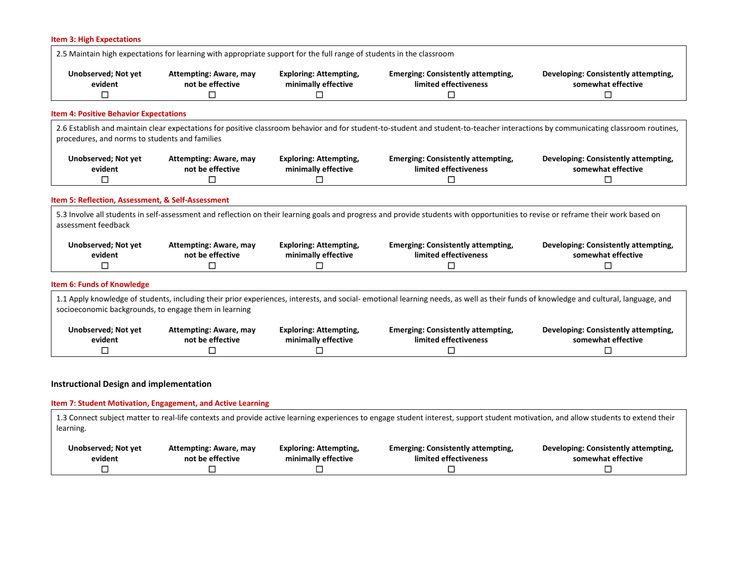|                                                              | 2.5 Maintain high expectations for learning with appropriate support for the full range of students in the classroom |                                                           |                                                                                                                                                                                      |                                                                 |
|--------------------------------------------------------------|----------------------------------------------------------------------------------------------------------------------|-----------------------------------------------------------|--------------------------------------------------------------------------------------------------------------------------------------------------------------------------------------|-----------------------------------------------------------------|
| <b>Unobserved; Not yet</b><br>evident<br>□                   | Attempting: Aware, may<br>not be effective<br>$\Box$                                                                 | <b>Exploring: Attempting,</b><br>minimally effective<br>□ | <b>Emerging: Consistently attempting,</b><br>limited effectiveness<br>□                                                                                                              | Developing: Consistently attempting,<br>somewhat effective<br>□ |
| <b>Item 4: Positive Behavior Expectations</b>                |                                                                                                                      |                                                           |                                                                                                                                                                                      |                                                                 |
| procedures, and norms to students and families               |                                                                                                                      |                                                           | 2.6 Establish and maintain clear expectations for positive classroom behavior and for student-to-student and student-to-teacher interactions by communicating classroom routines,    |                                                                 |
| <b>Unobserved; Not yet</b><br>evident                        | <b>Attempting: Aware, may</b><br>not be effective                                                                    | <b>Exploring: Attempting,</b><br>minimally effective      | <b>Emerging: Consistently attempting,</b><br>limited effectiveness                                                                                                                   | Developing: Consistently attempting,<br>somewhat effective      |
|                                                              |                                                                                                                      |                                                           |                                                                                                                                                                                      |                                                                 |
| □                                                            | $\Box$                                                                                                               | П                                                         | □                                                                                                                                                                                    | $\Box$                                                          |
| Item 5: Reflection, Assessment, & Self-Assessment            |                                                                                                                      |                                                           |                                                                                                                                                                                      |                                                                 |
|                                                              |                                                                                                                      |                                                           | 5.3 Involve all students in self-assessment and reflection on their learning goals and progress and provide students with opportunities to revise or reframe their work based on     |                                                                 |
| assessment feedback<br><b>Unobserved; Not yet</b><br>evident | <b>Attempting: Aware, may</b><br>not be effective                                                                    | <b>Exploring: Attempting,</b><br>minimally effective      | <b>Emerging: Consistently attempting,</b><br>limited effectiveness                                                                                                                   | Developing: Consistently attempting,<br>somewhat effective      |
| □                                                            | $\Box$                                                                                                               | П                                                         | □                                                                                                                                                                                    | $\Box$                                                          |
| <b>Item 6: Funds of Knowledge</b>                            |                                                                                                                      |                                                           |                                                                                                                                                                                      |                                                                 |
| socioeconomic backgrounds, to engage them in learning        |                                                                                                                      |                                                           | 1.1 Apply knowledge of students, including their prior experiences, interests, and social- emotional learning needs, as well as their funds of knowledge and cultural, language, and |                                                                 |
| <b>Unobserved; Not yet</b><br>evident                        | <b>Attempting: Aware, may</b><br>not be effective                                                                    | <b>Exploring: Attempting,</b><br>minimally effective      | <b>Emerging: Consistently attempting,</b><br>limited effectiveness                                                                                                                   | Developing: Consistently attempting,<br>somewhat effective      |

# **Item 7: Student Motivation, Engagement, and Active Learning**

1.3 Connect subject matter to real-life contexts and provide active learning experiences to engage student interest, support student motivation, and allow students to extend their learning. **Unobserved; Not yet evident Attempting: Aware, may not be effective Exploring: Attempting, minimally effective Emerging: Consistently attempting, limited effectiveness Developing: Consistently attempting, somewhat effective** ☐ ☐ ☐ ☐ ☐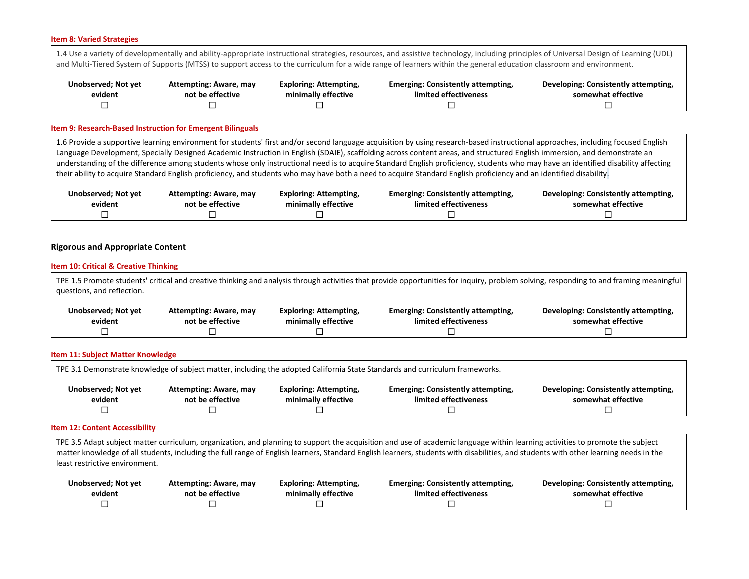#### **Item 8: Varied Strategies**

1.4 Use a variety of developmentally and ability-appropriate instructional strategies, resources, and assistive technology, including principles of Universal Design of Learning (UDL) and Multi-Tiered System of Supports (MTSS) to support access to the curriculum for a wide range of learners within the general education classroom and environment.

| Unobserved; Not yet | Attempting: Aware, may | <b>Exploring: Attempting,</b> | <b>Emerging: Consistently attempting,</b> | Developing: Consistently attempting, |
|---------------------|------------------------|-------------------------------|-------------------------------------------|--------------------------------------|
| evident             | not be effective       | minimally effective           | limited effectiveness                     | somewhat effective                   |
|                     |                        |                               |                                           |                                      |

#### **Item 9: Research-Based Instruction for Emergent Bilinguals**

1.6 Provide a supportive learning environment for students' first and/or second language acquisition by using research-based instructional approaches, including focused English Language Development, Specially Designed Academic Instruction in English (SDAIE), scaffolding across content areas, and structured English immersion, and demonstrate an understanding of the difference among students whose only instructional need is to acquire Standard English proficiency, students who may have an identified disability affecting their ability to acquire Standard English proficiency, and students who may have both a need to acquire Standard English proficiency and an identified disability.

| Unobserved; Not yet | Attempting: Aware, may | <b>Exploring: Attempting,</b> | <b>Emerging: Consistently attempting,</b> | Developing: Consistently attempting, |
|---------------------|------------------------|-------------------------------|-------------------------------------------|--------------------------------------|
| evident             | not be effective       | minimally effective           | limited effectiveness                     | somewhat effective                   |
|                     |                        |                               |                                           |                                      |

### **Rigorous and Appropriate Content**

#### **Item 10: Critical & Creative Thinking**

TPE 1.5 Promote students' critical and creative thinking and analysis through activities that provide opportunities for inquiry, problem solving, responding to and framing meaningful questions, and reflection. **Unobserved; Not yet evident Attempting: Aware, may not be effective Exploring: Attempting, minimally effective Emerging: Consistently attempting, limited effectiveness Developing: Consistently attempting, somewhat effective** ☐ ☐ ☐ ☐ ☐

#### **Item 11: Subject Matter Knowledge**

| TPE 3.1 Demonstrate knowledge of subject matter, including the adopted California State Standards and curriculum frameworks. |                                                   |                                                      |                                                                    |                                                            |  |
|------------------------------------------------------------------------------------------------------------------------------|---------------------------------------------------|------------------------------------------------------|--------------------------------------------------------------------|------------------------------------------------------------|--|
| Unobserved; Not yet<br>evident                                                                                               | <b>Attempting: Aware, may</b><br>not be effective | <b>Exploring: Attempting,</b><br>minimally effective | <b>Emerging: Consistently attempting,</b><br>limited effectiveness | Developing: Consistently attempting,<br>somewhat effective |  |
|                                                                                                                              |                                                   |                                                      |                                                                    |                                                            |  |

#### **Item 12: Content Accessibility**

TPE 3.5 Adapt subject matter curriculum, organization, and planning to support the acquisition and use of academic language within learning activities to promote the subject matter knowledge of all students, including the full range of English learners, Standard English learners, students with disabilities, and students with other learning needs in the least restrictive environment.

| Unobserved; Not yet | Attempting: Aware, may | Exploring: Attempting, | <b>Emerging: Consistently attempting,</b> | Developing: Consistently attempting, |
|---------------------|------------------------|------------------------|-------------------------------------------|--------------------------------------|
| evident             | not be effective       | minimally effective    | limited effectiveness                     | somewhat effective                   |
|                     |                        |                        |                                           |                                      |